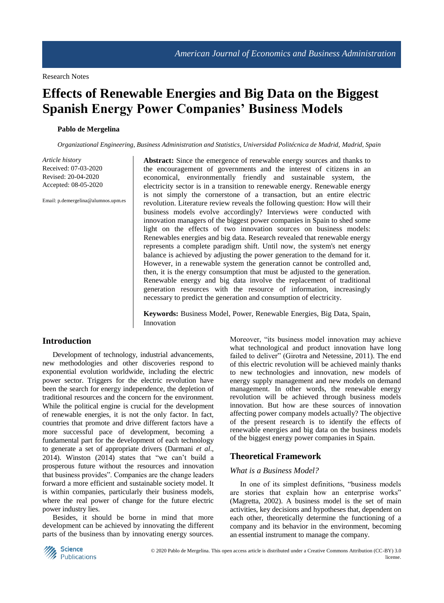# **Effects of Renewable Energies and Big Data on the Biggest Spanish Energy Power Companies' Business Models**

#### **Pablo de Mergelina**

*Organizational Engineering, Business Administration and Statistics, Universidad Politécnica de Madrid, Madrid, Spain*

*Article history* Received: 07-03-2020 Revised: 20-04-2020 Accepted: 08-05-2020

Email: p.demergelina@alumnos.upm.es

**Abstract:** Since the emergence of renewable energy sources and thanks to the encouragement of governments and the interest of citizens in an economical, environmentally friendly and sustainable system, the electricity sector is in a transition to renewable energy. Renewable energy is not simply the cornerstone of a transaction, but an entire electric revolution. Literature review reveals the following question: How will their business models evolve accordingly? Interviews were conducted with innovation managers of the biggest power companies in Spain to shed some light on the effects of two innovation sources on business models: Renewables energies and big data. Research revealed that renewable energy represents a complete paradigm shift. Until now, the system's net energy balance is achieved by adjusting the power generation to the demand for it. However, in a renewable system the generation cannot be controlled and, then, it is the energy consumption that must be adjusted to the generation. Renewable energy and big data involve the replacement of traditional generation resources with the resource of information, increasingly necessary to predict the generation and consumption of electricity.

**Keywords:** Business Model, Power, Renewable Energies, Big Data, Spain, Innovation

## **Introduction**

Development of technology, industrial advancements, new methodologies and other discoveries respond to exponential evolution worldwide, including the electric power sector. Triggers for the electric revolution have been the search for energy independence, the depletion of traditional resources and the concern for the environment. While the political engine is crucial for the development of renewable energies, it is not the only factor. In fact, countries that promote and drive different factors have a more successful pace of development, becoming a fundamental part for the development of each technology to generate a set of appropriate drivers (Darmani *et al*., 2014). Winston (2014) states that "we can't build a prosperous future without the resources and innovation that business provides". Companies are the change leaders forward a more efficient and sustainable society model. It is within companies, particularly their business models, where the real power of change for the future electric power industry lies.

Besides, it should be borne in mind that more development can be achieved by innovating the different parts of the business than by innovating energy sources.

Moreover, "its business model innovation may achieve what technological and product innovation have long failed to deliver" (Girotra and Netessine, 2011). The end of this electric revolution will be achieved mainly thanks to new technologies and innovation, new models of energy supply management and new models on demand management. In other words, the renewable energy revolution will be achieved through business models innovation. But how are these sources of innovation affecting power company models actually? The objective of the present research is to identify the effects of renewable energies and big data on the business models of the biggest energy power companies in Spain.

## **Theoretical Framework**

#### *What is a Business Model?*

In one of its simplest definitions, "business models are stories that explain how an enterprise works" (Magretta, 2002). A business model is the set of main activities, key decisions and hypotheses that, dependent on each other, theoretically determine the functioning of a company and its behavior in the environment, becoming an essential instrument to manage the company.

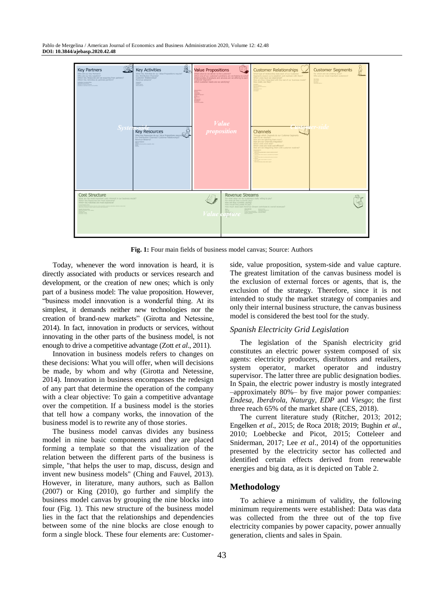Pablo de Mergelina / American Journal of Economics and Business Administration 2020, Volume 12: 42.48 **DOI: 10.3844/ajebasp.2020.42.48**



**Fig. 1:** Four main fields of business model canvas; Source: Authors

Today, whenever the word innovation is heard, it is directly associated with products or services research and development, or the creation of new ones; which is only part of a business model: The value proposition. However, "business model innovation is a wonderful thing. At its simplest, it demands neither new technologies nor the creation of brand-new markets" (Girotta and Netessine, 2014). In fact, innovation in products or services, without innovating in the other parts of the business model, is not enough to drive a competitive advantage (Zott *et al*., 2011).

Innovation in business models refers to changes on these decisions: What you will offer, when will decisions be made, by whom and why (Girotta and Netessine, 2014). Innovation in business encompasses the redesign of any part that determine the operation of the company with a clear objective: To gain a competitive advantage over the competition. If a business model is the stories that tell how a company works, the innovation of the business model is to rewrite any of those stories.

The business model canvas divides any business model in nine basic components and they are placed forming a template so that the visualization of the relation between the different parts of the business is simple, "that helps the user to map, discuss, design and invent new business models" (Ching and Fauvel, 2013). However, in literature, many authors, such as Ballon (2007) or King (2010), go further and simplify the business model canvas by grouping the nine blocks into four (Fig. 1). This new structure of the business model lies in the fact that the relationships and dependencies between some of the nine blocks are close enough to form a single block. These four elements are: Customerside, value proposition, system-side and value capture. The greatest limitation of the canvas business model is the exclusion of external forces or agents, that is, the exclusion of the strategy. Therefore, since it is not intended to study the market strategy of companies and only their internal business structure, the canvas business model is considered the best tool for the study.

#### *Spanish Electricity Grid Legislation*

The legislation of the Spanish electricity grid constitutes an electric power system composed of six agents: electricity producers, distributors and retailers, system operator, market operator and industry supervisor. The latter three are public designation bodies. In Spain, the electric power industry is mostly integrated –approximately 80%– by five major power companies: *Endesa*, *Iberdrola*, *Naturgy*, *EDP* and *Viesgo*; the first three reach 65% of the market share (CES, 2018).

The current literature study (Ritcher, 2013; 2012; Engelken *et al*., 2015; de Roca 2018; 2019; Bughin *et al*., 2010; Loebbecke and Picot, 2015; Cotteleer and Sniderman, 2017; Lee *et al*., 2014) of the opportunities presented by the electricity sector has collected and identified certain effects derived from renewable energies and big data, as it is depicted on Table 2.

#### **Methodology**

To achieve a minimum of validity, the following minimum requirements were established: Data was data was collected from the three out of the top five electricity companies by power capacity, power annually generation, clients and sales in Spain.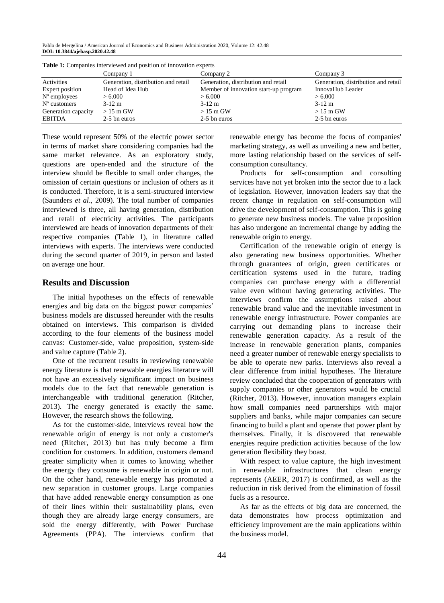Pablo de Mergelina / American Journal of Economics and Business Administration 2020, Volume 12: 42.48 **DOI: 10.3844/ajebasp.2020.42.48**

| <b>Table 1:</b> Companies interviewed and position of innovation experts |                                     |                                       |                                     |  |  |  |
|--------------------------------------------------------------------------|-------------------------------------|---------------------------------------|-------------------------------------|--|--|--|
|                                                                          | Company 1                           | Company 2                             | Company 3                           |  |  |  |
| Activities                                                               | Generation, distribution and retail | Generation, distribution and retail   | Generation, distribution and retail |  |  |  |
| Expert position                                                          | Head of Idea Hub                    | Member of innovation start-up program | InnovaHub Leader                    |  |  |  |
| $No$ employees                                                           | > 6.000                             | > 6.000                               | > 6.000                             |  |  |  |
| $No$ customers                                                           | $3-12$ m                            | $3-12$ m                              | $3-12$ m                            |  |  |  |
| Generation capacity                                                      | $>15$ m GW                          | $>15 \text{ m GW}$                    | $>15$ m GW                          |  |  |  |
| <b>EBITDA</b>                                                            | 2-5 bn euros                        | 2-5 bn euros                          | 2-5 bn euros                        |  |  |  |

**Table 1:** Companies interviewed and position of innovation experts

These would represent 50% of the electric power sector in terms of market share considering companies had the same market relevance. As an exploratory study, questions are open-ended and the structure of the interview should be flexible to small order changes, the omission of certain questions or inclusion of others as it is conducted. Therefore, it is a semi-structured interview (Saunders *et al*., 2009). The total number of companies interviewed is three, all having generation, distribution and retail of electricity activities. The participants interviewed are heads of innovation departments of their respective companies (Table 1), in literature called interviews with experts. The interviews were conducted during the second quarter of 2019, in person and lasted on average one hour.

## **Results and Discussion**

The initial hypotheses on the effects of renewable energies and big data on the biggest power companies' business models are discussed hereunder with the results obtained on interviews. This comparison is divided according to the four elements of the business model canvas: Customer-side, value proposition, system-side and value capture (Table 2).

One of the recurrent results in reviewing renewable energy literature is that renewable energies literature will not have an excessively significant impact on business models due to the fact that renewable generation is interchangeable with traditional generation (Ritcher, 2013). The energy generated is exactly the same. However, the research shows the following.

As for the customer-side, interviews reveal how the renewable origin of energy is not only a customer's need (Ritcher, 2013) but has truly become a firm condition for customers. In addition, customers demand greater simplicity when it comes to knowing whether the energy they consume is renewable in origin or not. On the other hand, renewable energy has promoted a new separation in customer groups. Large companies that have added renewable energy consumption as one of their lines within their sustainability plans, even though they are already large energy consumers, are sold the energy differently, with Power Purchase Agreements (PPA). The interviews confirm that renewable energy has become the focus of companies' marketing strategy, as well as unveiling a new and better, more lasting relationship based on the services of selfconsumption consultancy.

Products for self-consumption and consulting services have not yet broken into the sector due to a lack of legislation. However, innovation leaders say that the recent change in regulation on self-consumption will drive the development of self-consumption. This is going to generate new business models. The value proposition has also undergone an incremental change by adding the renewable origin to energy.

Certification of the renewable origin of energy is also generating new business opportunities. Whether through guarantees of origin, green certificates or certification systems used in the future, trading companies can purchase energy with a differential value even without having generating activities. The interviews confirm the assumptions raised about renewable brand value and the inevitable investment in renewable energy infrastructure. Power companies are carrying out demanding plans to increase their renewable generation capacity. As a result of the increase in renewable generation plants, companies need a greater number of renewable energy specialists to be able to operate new parks. Interviews also reveal a clear difference from initial hypotheses. The literature review concluded that the cooperation of generators with supply companies or other generators would be crucial (Ritcher, 2013). However, innovation managers explain how small companies need partnerships with major suppliers and banks, while major companies can secure financing to build a plant and operate that power plant by themselves. Finally, it is discovered that renewable energies require prediction activities because of the low generation flexibility they boast.

With respect to value capture, the high investment in renewable infrastructures that clean energy represents (AEER, 2017) is confirmed, as well as the reduction in risk derived from the elimination of fossil fuels as a resource.

As far as the effects of big data are concerned, the data demonstrates how process optimization and efficiency improvement are the main applications within the business model.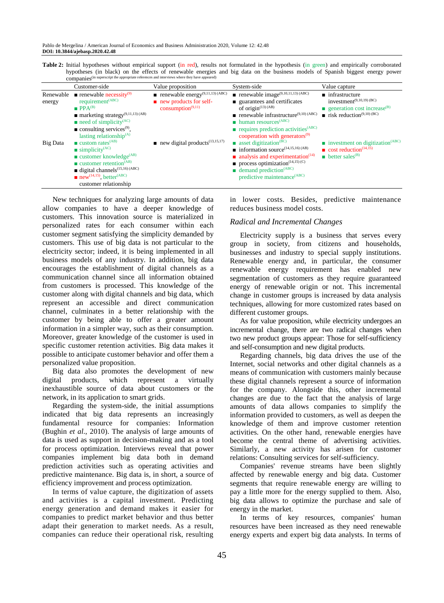Table 2: Initial hypotheses without empirical support (in red), results not formulated in the hypothesis (in green) and empirically corroborated hypotheses (in black) on the effects of renewable energies and big data on the business models of Spanish biggest energy power companies<sup>(in superscript the appropriate references and interviews where they have appeared)</sup>

|                                        | Customer-side                                                                                                                                                                                                                                                                                                                                                               | Value proposition                                                                                                                                                                         | System-side                                                                                                                                                                                                                                                                                                                                                                                                      | Value capture                                                                                                                                                                                                                        |
|----------------------------------------|-----------------------------------------------------------------------------------------------------------------------------------------------------------------------------------------------------------------------------------------------------------------------------------------------------------------------------------------------------------------------------|-------------------------------------------------------------------------------------------------------------------------------------------------------------------------------------------|------------------------------------------------------------------------------------------------------------------------------------------------------------------------------------------------------------------------------------------------------------------------------------------------------------------------------------------------------------------------------------------------------------------|--------------------------------------------------------------------------------------------------------------------------------------------------------------------------------------------------------------------------------------|
| Renewable<br>energy<br><b>Big Data</b> | <b>r</b> renewable necessity <sup>(9)</sup><br>requirement <sup>(ABC)</sup><br>$\blacksquare$ PPA <sup>(B)</sup><br>$\blacksquare$ marketing strategy <sup>(9,11,13)</sup> (AB)<br>$\blacksquare$ need of simplicity <sup>(AC)</sup><br>$\blacksquare$ consulting services <sup>(9)</sup> ,<br>lasting relationship $^{(A)}$<br>$\blacksquare$ custom rates <sup>(AB)</sup> | <b>renewable energy</b> <sup>(9,11,13)</sup> (ABC)<br>$\blacksquare$ new products for self-<br>consumption <sup>(9,11)</sup><br>$\blacksquare$ new digital products <sup>(13,15,17)</sup> | renewable image <sup><math>(9,10,11,13)</math></sup> (ABC)<br>■ guarantees and certificates<br>of origin $(13)$ (AB)<br><b>n</b> renewable infrastructure <sup>(9,10)</sup> (ABC)<br>$\blacksquare$ human resources <sup>(ABC)</sup><br>$\blacksquare$ requires prediction activities <sup>(ABC)</sup><br>cooperation with generators $(9)$<br><b>asset digitization</b> <sup>(<math>\overline{BC}</math>)</sup> | $\blacksquare$ infrastructure<br>investment $(9,10,19)$ (BC)<br><b>generation</b> cost increase <sup>(B)</sup><br>$\blacksquare$ risk reduction <sup>(9,10)</sup> (BC)<br>$\blacksquare$ investment on digitization <sup>(ABC)</sup> |
|                                        | $\blacksquare$ simplicity <sup>(AC)</sup><br>$\blacksquare$ customer knowledge <sup>(AB)</sup><br><b>u</b> customer retention <sup><math>(AB)</math></sup><br>$\blacksquare$ digital channels <sup>(15,16)</sup> (ABC)<br>$\blacksquare$ new <sup>(14,15)</sup> , better <sup>(ABC)</sup><br>customer relationship                                                          |                                                                                                                                                                                           | $\blacksquare$ information source <sup>(14,15,16)</sup> (AB)<br>$\blacksquare$ analysis and experimentation <sup>(14)</sup><br><b>process optimization</b> <sup><math>(14,15)</math></sup> $(C)$<br>$\blacksquare$ demand prediction <sup>(ABC)</sup><br>predictive maintenance <sup>(ABC)</sup>                                                                                                                 | $\Box$ cost reduction <sup>(14,15)</sup><br><b>Deter sales</b> <sup>(B)</sup>                                                                                                                                                        |

New techniques for analyzing large amounts of data allow companies to have a deeper knowledge of customers. This innovation source is materialized in personalized rates for each consumer within each customer segment satisfying the simplicity demanded by customers. This use of big data is not particular to the electricity sector; indeed, it is being implemented in all business models of any industry. In addition, big data encourages the establishment of digital channels as a communication channel since all information obtained from customers is processed. This knowledge of the customer along with digital channels and big data, which represent an accessible and direct communication channel, culminates in a better relationship with the customer by being able to offer a greater amount information in a simpler way, such as their consumption. Moreover, greater knowledge of the customer is used in specific customer retention activities. Big data makes it possible to anticipate customer behavior and offer them a personalized value proposition.

Big data also promotes the development of new digital products, which represent a virtually inexhaustible source of data about customers or the network, in its application to smart grids.

Regarding the system-side, the initial assumptions indicated that big data represents an increasingly fundamental resource for companies: Information (Bughin *et al*., 2010). The analysis of large amounts of data is used as support in decision-making and as a tool for process optimization. Interviews reveal that power companies implement big data both in demand prediction activities such as operating activities and predictive maintenance. Big data is, in short, a source of efficiency improvement and process optimization.

In terms of value capture, the digitization of assets and activities is a capital investment. Predicting energy generation and demand makes it easier for companies to predict market behavior and thus better adapt their generation to market needs. As a result, companies can reduce their operational risk, resulting

in lower costs. Besides, predictive maintenance reduces business model costs.

## *Radical and Incremental Changes*

Electricity supply is a business that serves every group in society, from citizens and households, businesses and industry to special supply institutions. Renewable energy and, in particular, the consumer renewable energy requirement has enabled new segmentation of customers as they require guaranteed energy of renewable origin or not. This incremental change in customer groups is increased by data analysis techniques, allowing for more customized rates based on different customer groups.

As for value proposition, while electricity undergoes an incremental change, there are two radical changes when two new product groups appear: Those for self-sufficiency and self-consumption and new digital products.

Regarding channels, big data drives the use of the Internet, social networks and other digital channels as a means of communication with customers mainly because these digital channels represent a source of information for the company. Alongside this, other incremental changes are due to the fact that the analysis of large amounts of data allows companies to simplify the information provided to customers, as well as deepen the knowledge of them and improve customer retention activities. On the other hand, renewable energies have become the central theme of advertising activities. Similarly, a new activity has arisen for customer relations: Consulting services for self-sufficiency.

Companies' revenue streams have been slightly affected by renewable energy and big data. Customer segments that require renewable energy are willing to pay a little more for the energy supplied to them. Also, big data allows to optimize the purchase and sale of energy in the market.

In terms of key resources, companies' human resources have been increased as they need renewable energy experts and expert big data analysts. In terms of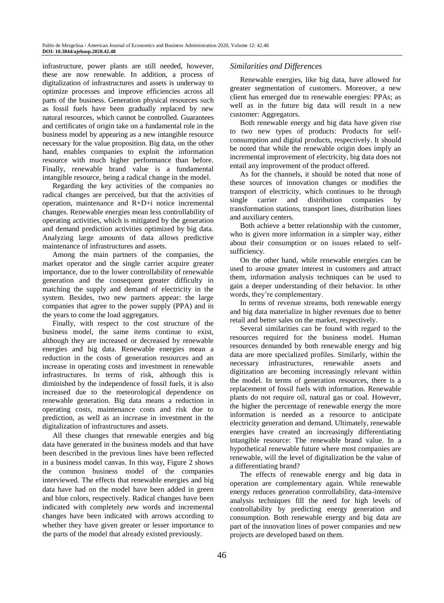infrastructure, power plants are still needed, however, these are now renewable. In addition, a process of digitalization of infrastructures and assets is underway to optimize processes and improve efficiencies across all parts of the business. Generation physical resources such as fossil fuels have been gradually replaced by new natural resources, which cannot be controlled. Guarantees and certificates of origin take on a fundamental role in the business model by appearing as a new intangible resource necessary for the value proposition. Big data, on the other hand, enables companies to exploit the information resource with much higher performance than before. Finally, renewable brand value is a fundamental intangible resource, being a radical change in the model.

Regarding the key activities of the companies no radical changes are perceived, but that the activities of operation, maintenance and R+D+i notice incremental changes. Renewable energies mean less controllability of operating activities, which is mitigated by the generation and demand prediction activities optimized by big data. Analyzing large amounts of data allows predictive maintenance of infrastructures and assets.

Among the main partners of the companies, the market operator and the single carrier acquire greater importance, due to the lower controllability of renewable generation and the consequent greater difficulty in matching the supply and demand of electricity in the system. Besides, two new partners appear: the large companies that agree to the power supply (PPA) and in the years to come the load aggregators.

Finally, with respect to the cost structure of the business model, the same items continue to exist, although they are increased or decreased by renewable energies and big data. Renewable energies mean a reduction in the costs of generation resources and an increase in operating costs and investment in renewable infrastructures. In terms of risk, although this is diminished by the independence of fossil fuels, it is also increased due to the meteorological dependence on renewable generation. Big data means a reduction in operating costs, maintenance costs and risk due to prediction, as well as an increase in investment in the digitalization of infrastructures and assets.

All these changes that renewable energies and big data have generated in the business models and that have been described in the previous lines have been reflected in a business model canvas. In this way, Figure 2 shows the common business model of the companies interviewed. The effects that renewable energies and big data have had on the model have been added in green and blue colors, respectively. Radical changes have been indicated with completely new words and incremental changes have been indicated with arrows according to whether they have given greater or lesser importance to the parts of the model that already existed previously.

## *Similarities and Differences*

Renewable energies, like big data, have allowed for greater segmentation of customers. Moreover, a new client has emerged due to renewable energies: PPAs; as well as in the future big data will result in a new customer: Aggregators.

Both renewable energy and big data have given rise to two new types of products: Products for selfconsumption and digital products, respectively. It should be noted that while the renewable origin does imply an incremental improvement of electricity, big data does not entail any improvement of the product offered.

As for the channels, it should be noted that none of these sources of innovation changes or modifies the transport of electricity, which continues to be through single carrier and distribution companies by transformation stations, transport lines, distribution lines and auxiliary centers.

Both achieve a better relationship with the customer, who is given more information in a simpler way, either about their consumption or on issues related to selfsufficiency.

On the other hand, while renewable energies can be used to arouse greater interest in customers and attract them, information analysis techniques can be used to gain a deeper understanding of their behavior. In other words, they're complementary.

In terms of revenue streams, both renewable energy and big data materialize in higher revenues due to better retail and better sales on the market, respectively.

Several similarities can be found with regard to the resources required for the business model. Human resources demanded by both renewable energy and big data are more specialized profiles. Similarly, within the necessary infrastructures, renewable assets and digitization are becoming increasingly relevant within the model. In terms of generation resources, there is a replacement of fossil fuels with information. Renewable plants do not require oil, natural gas or coal. However, the higher the percentage of renewable energy the more information is needed as a resource to anticipate electricity generation and demand. Ultimately, renewable energies have created an increasingly differentiating intangible resource: The renewable brand value. In a hypothetical renewable future where most companies are renewable, will the level of digitalization be the value of a differentiating brand?

The effects of renewable energy and big data in operation are complementary again. While renewable energy reduces generation controllability, data-intensive analysis techniques fill the need for high levels of controllability by predicting energy generation and consumption. Both renewable energy and big data are part of the innovation lines of power companies and new projects are developed based on them.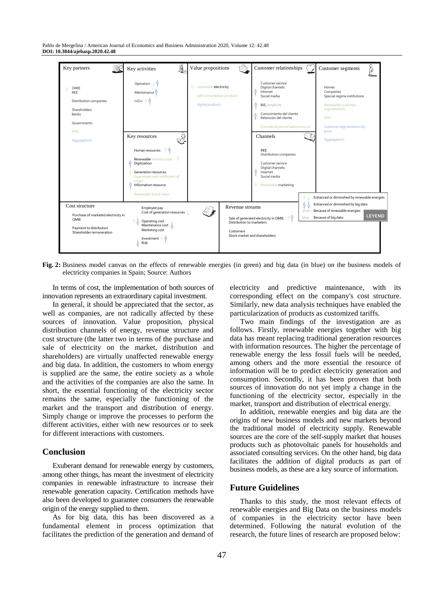Pablo de Mergelina / American Journal of Economics and Business Administration 2020, Volume 12: 42.48 **DOI: 10.3844/ajebasp.2020.42.48**



**Fig. 2:** Business model canvas on the effects of renewable energies (in green) and big data (in blue) on the business models of electricity companies in Spain; Source: Authors

In terms of cost, the implementation of both sources of innovation represents an extraordinary capital investment.

In general, it should be appreciated that the sector, as well as companies, are not radically affected by these sources of innovation. Value proposition, physical distribution channels of energy, revenue structure and cost structure (the latter two in terms of the purchase and sale of electricity on the market, distribution and shareholders) are virtually unaffected renewable energy and big data. In addition, the customers to whom energy is supplied are the same, the entire society as a whole and the activities of the companies are also the same. In short, the essential functioning of the electricity sector remains the same, especially the functioning of the market and the transport and distribution of energy. Simply change or improve the processes to perform the different activities, either with new resources or to seek for different interactions with customers.

## **Conclusion**

Exuberant demand for renewable energy by customers, among other things, has meant the investment of electricity companies in renewable infrastructure to increase their renewable generation capacity. Certification methods have also been developed to guarantee consumers the renewable origin of the energy supplied to them.

As for big data, this has been discovered as a fundamental element in process optimization that facilitates the prediction of the generation and demand of electricity and predictive maintenance, with its corresponding effect on the company's cost structure. Similarly, new data analysis techniques have enabled the particularization of products as customized tariffs.

Two main findings of the investigation are as follows. Firstly, renewable energies together with big data has meant replacing traditional generation resources with information resources. The higher the percentage of renewable energy the less fossil fuels will be needed, among others and the more essential the resource of information will be to predict electricity generation and consumption. Secondly, it has been proven that both sources of innovation do not yet imply a change in the functioning of the electricity sector, especially in the market, transport and distribution of electrical energy.

In addition, renewable energies and big data are the origins of new business models and new markets beyond the traditional model of electricity supply. Renewable sources are the core of the self-supply market that houses products such as photovoltaic panels for households and associated consulting services. On the other hand, big data facilitates the addition of digital products as part of business models, as these are a key source of information.

# **Future Guidelines**

Thanks to this study, the most relevant effects of renewable energies and Big Data on the business models of companies in the electricity sector have been determined. Following the natural evolution of the research, the future lines of research are proposed below: